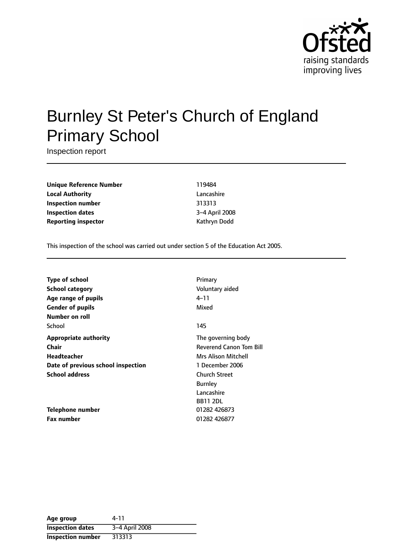

# Burnley St Peter's Church of England Primary School

Inspection report

**Unique Reference Number** 119484 **Local Authority** Lancashire **Inspection number** 313313 **Inspection dates** 3-4 April 2008 **Reporting inspector CONFIDENTIAL REPORTING KATHRYING DODGET AT A REPORT OF A REPORT OF A REPORT OF A REPORT OF A REPORT OF A REPORT OF A REPORT OF A REPORT OF A REPORT OF A REPORT OF A REPORT OF A REPORT OF A REPORT OF** 

This inspection of the school was carried out under section 5 of the Education Act 2005.

| Primary                        |
|--------------------------------|
| Voluntary aided                |
| 4–11                           |
| Mixed                          |
|                                |
| 145                            |
| The governing body             |
| <b>Reverend Canon Tom Bill</b> |
| Mrs Alison Mitchell            |
| 1 December 2006                |
| <b>Church Street</b>           |
| <b>Burnley</b>                 |
| Lancashire                     |
| <b>BB11 2DL</b>                |
| 01282 426873                   |
| 01282 426877                   |
|                                |

| Age group                | 4-11           |
|--------------------------|----------------|
| <b>Inspection dates</b>  | 3-4 April 2008 |
| <b>Inspection number</b> | 313313         |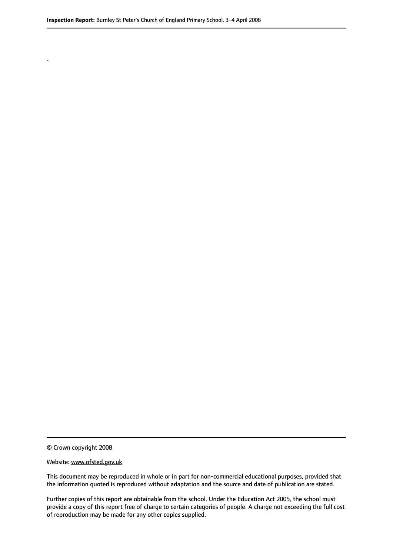© Crown copyright 2008

.

#### Website: www.ofsted.gov.uk

This document may be reproduced in whole or in part for non-commercial educational purposes, provided that the information quoted is reproduced without adaptation and the source and date of publication are stated.

Further copies of this report are obtainable from the school. Under the Education Act 2005, the school must provide a copy of this report free of charge to certain categories of people. A charge not exceeding the full cost of reproduction may be made for any other copies supplied.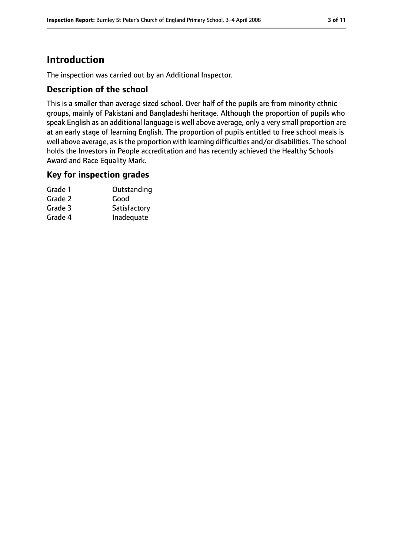# **Introduction**

The inspection was carried out by an Additional Inspector.

#### **Description of the school**

This is a smaller than average sized school. Over half of the pupils are from minority ethnic groups, mainly of Pakistani and Bangladeshi heritage. Although the proportion of pupils who speak English as an additional language is well above average, only a very small proportion are at an early stage of learning English. The proportion of pupils entitled to free school meals is well above average, as is the proportion with learning difficulties and/or disabilities. The school holds the Investors in People accreditation and has recently achieved the Healthy Schools Award and Race Equality Mark.

#### **Key for inspection grades**

| Outstanding  |
|--------------|
| Good         |
| Satisfactory |
| Inadequate   |
|              |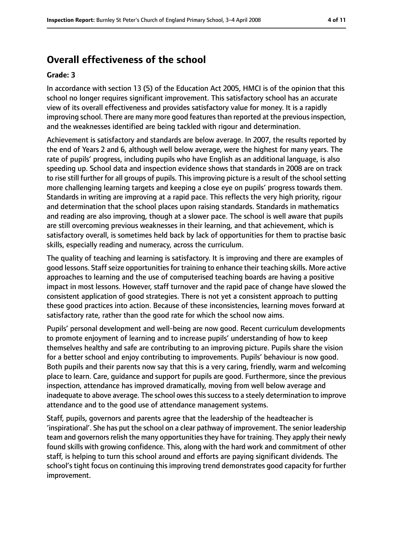# **Overall effectiveness of the school**

#### **Grade: 3**

In accordance with section 13 (5) of the Education Act 2005, HMCI is of the opinion that this school no longer requires significant improvement. This satisfactory school has an accurate view of its overall effectiveness and provides satisfactory value for money. It is a rapidly improving school. There are many more good features than reported at the previous inspection, and the weaknesses identified are being tackled with rigour and determination.

Achievement is satisfactory and standards are below average. In 2007, the results reported by the end of Years 2 and 6, although well below average, were the highest for many years. The rate of pupils' progress, including pupils who have English as an additional language, is also speeding up. School data and inspection evidence shows that standards in 2008 are on track to rise still further for all groups of pupils. This improving picture is a result of the school setting more challenging learning targets and keeping a close eye on pupils' progress towards them. Standards in writing are improving at a rapid pace. This reflects the very high priority, rigour and determination that the school places upon raising standards. Standards in mathematics and reading are also improving, though at a slower pace. The school is well aware that pupils are still overcoming previous weaknesses in their learning, and that achievement, which is satisfactory overall, is sometimes held back by lack of opportunities for them to practise basic skills, especially reading and numeracy, across the curriculum.

The quality of teaching and learning is satisfactory. It is improving and there are examples of good lessons. Staff seize opportunities for training to enhance their teaching skills. More active approaches to learning and the use of computerised teaching boards are having a positive impact in most lessons. However, staff turnover and the rapid pace of change have slowed the consistent application of good strategies. There is not yet a consistent approach to putting these good practices into action. Because of these inconsistencies, learning moves forward at satisfactory rate, rather than the good rate for which the school now aims.

Pupils' personal development and well-being are now good. Recent curriculum developments to promote enjoyment of learning and to increase pupils' understanding of how to keep themselves healthy and safe are contributing to an improving picture. Pupils share the vision for a better school and enjoy contributing to improvements. Pupils' behaviour is now good. Both pupils and their parents now say that this is a very caring, friendly, warm and welcoming place to learn. Care, guidance and support for pupils are good. Furthermore, since the previous inspection, attendance has improved dramatically, moving from well below average and inadequate to above average. The school owes this success to a steely determination to improve attendance and to the good use of attendance management systems.

Staff, pupils, governors and parents agree that the leadership of the headteacher is 'inspirational'. She has put the school on a clear pathway of improvement. The senior leadership team and governors relish the many opportunities they have for training. They apply their newly found skills with growing confidence. This, along with the hard work and commitment of other staff, is helping to turn this school around and efforts are paying significant dividends. The school's tight focus on continuing this improving trend demonstrates good capacity for further improvement.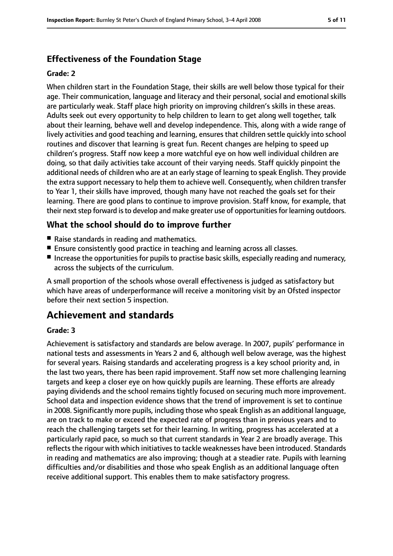### **Effectiveness of the Foundation Stage**

#### **Grade: 2**

When children start in the Foundation Stage, their skills are well below those typical for their age. Their communication, language and literacy and their personal, social and emotional skills are particularly weak. Staff place high priority on improving children's skills in these areas. Adults seek out every opportunity to help children to learn to get along well together, talk about their learning, behave well and develop independence. This, along with a wide range of lively activities and good teaching and learning, ensures that children settle quickly into school routines and discover that learning is great fun. Recent changes are helping to speed up children's progress. Staff now keep a more watchful eye on how well individual children are doing, so that daily activities take account of their varying needs. Staff quickly pinpoint the additional needs of children who are at an early stage of learning to speak English. They provide the extra support necessary to help them to achieve well. Consequently, when children transfer to Year 1, their skills have improved, though many have not reached the goals set for their learning. There are good plans to continue to improve provision. Staff know, for example, that their next step forward is to develop and make greater use of opportunities for learning outdoors.

### **What the school should do to improve further**

- Raise standards in reading and mathematics.
- Ensure consistently good practice in teaching and learning across all classes.
- Increase the opportunities for pupils to practise basic skills, especially reading and numeracy, across the subjects of the curriculum.

A small proportion of the schools whose overall effectiveness is judged as satisfactory but which have areas of underperformance will receive a monitoring visit by an Ofsted inspector before their next section 5 inspection.

# **Achievement and standards**

#### **Grade: 3**

Achievement is satisfactory and standards are below average. In 2007, pupils' performance in national tests and assessments in Years 2 and 6, although well below average, was the highest for several years. Raising standards and accelerating progress is a key school priority and, in the last two years, there has been rapid improvement. Staff now set more challenging learning targets and keep a closer eye on how quickly pupils are learning. These efforts are already paying dividends and the school remains tightly focused on securing much more improvement. School data and inspection evidence shows that the trend of improvement is set to continue in 2008. Significantly more pupils, including those who speak English as an additional language, are on track to make or exceed the expected rate of progress than in previous years and to reach the challenging targets set for their learning. In writing, progress has accelerated at a particularly rapid pace, so much so that current standards in Year 2 are broadly average. This reflects the rigour with which initiatives to tackle weaknesses have been introduced. Standards in reading and mathematics are also improving; though at a steadier rate. Pupils with learning difficulties and/or disabilities and those who speak English as an additional language often receive additional support. This enables them to make satisfactory progress.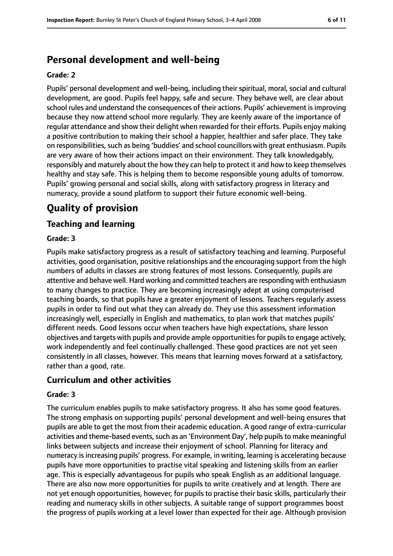# **Personal development and well-being**

#### **Grade: 2**

Pupils' personal development and well-being, including their spiritual, moral, social and cultural development, are good. Pupils feel happy, safe and secure. They behave well, are clear about school rules and understand the consequences of their actions. Pupils' achievement isimproving because they now attend school more regularly. They are keenly aware of the importance of regular attendance and show their delight when rewarded for their efforts. Pupils enjoy making a positive contribution to making their school a happier, healthier and safer place. They take on responsibilities, such as being 'buddies' and school councillors with great enthusiasm. Pupils are very aware of how their actions impact on their environment. They talk knowledgably, responsibly and maturely about the how they can help to protect it and how to keep themselves healthy and stay safe. This is helping them to become responsible young adults of tomorrow. Pupils' growing personal and social skills, along with satisfactory progress in literacy and numeracy, provide a sound platform to support their future economic well-being.

# **Quality of provision**

### **Teaching and learning**

#### **Grade: 3**

Pupils make satisfactory progress as a result of satisfactory teaching and learning. Purposeful activities, good organisation, positive relationships and the encouraging support from the high numbers of adults in classes are strong features of most lessons. Consequently, pupils are attentive and behave well. Hard working and committed teachers are responding with enthusiasm to many changes to practice. They are becoming increasingly adept at using computerised teaching boards, so that pupils have a greater enjoyment of lessons. Teachers regularly assess pupils in order to find out what they can already do. They use this assessment information increasingly well, especially in English and mathematics, to plan work that matches pupils' different needs. Good lessons occur when teachers have high expectations, share lesson objectives and targets with pupils and provide ample opportunities for pupils to engage actively, work independently and feel continually challenged. These good practices are not yet seen consistently in all classes, however. This means that learning moves forward at a satisfactory, rather than a good, rate.

#### **Curriculum and other activities**

#### **Grade: 3**

The curriculum enables pupils to make satisfactory progress. It also has some good features. The strong emphasis on supporting pupils' personal development and well-being ensures that pupils are able to get the most from their academic education. A good range of extra-curricular activities and theme-based events, such as an 'Environment Day', help pupils to make meaningful links between subjects and increase their enjoyment of school. Planning for literacy and numeracy is increasing pupils' progress. For example, in writing, learning is accelerating because pupils have more opportunities to practise vital speaking and listening skills from an earlier age. This is especially advantageous for pupils who speak English as an additional language. There are also now more opportunities for pupils to write creatively and at length. There are not yet enough opportunities, however, for pupils to practise their basic skills, particularly their reading and numeracy skills in other subjects. A suitable range of support programmes boost the progress of pupils working at a level lower than expected for their age. Although provision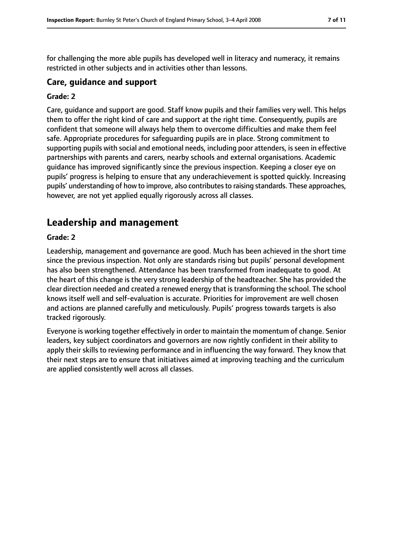for challenging the more able pupils has developed well in literacy and numeracy, it remains restricted in other subjects and in activities other than lessons.

#### **Care, guidance and support**

#### **Grade: 2**

Care, guidance and support are good. Staff know pupils and their families very well. This helps them to offer the right kind of care and support at the right time. Consequently, pupils are confident that someone will always help them to overcome difficulties and make them feel safe. Appropriate procedures for safeguarding pupils are in place. Strong commitment to supporting pupils with social and emotional needs, including poor attenders, is seen in effective partnerships with parents and carers, nearby schools and external organisations. Academic guidance has improved significantly since the previous inspection. Keeping a closer eye on pupils' progress is helping to ensure that any underachievement is spotted quickly. Increasing pupils' understanding of how to improve, also contributesto raising standards. These approaches, however, are not yet applied equally rigorously across all classes.

## **Leadership and management**

#### **Grade: 2**

Leadership, management and governance are good. Much has been achieved in the short time since the previous inspection. Not only are standards rising but pupils' personal development has also been strengthened. Attendance has been transformed from inadequate to good. At the heart of this change is the very strong leadership of the headteacher. She has provided the clear direction needed and created a renewed energy that is transforming the school. The school knows itself well and self-evaluation is accurate. Priorities for improvement are well chosen and actions are planned carefully and meticulously. Pupils' progress towards targets is also tracked rigorously.

Everyone is working together effectively in order to maintain the momentum of change. Senior leaders, key subject coordinators and governors are now rightly confident in their ability to apply their skills to reviewing performance and in influencing the way forward. They know that their next steps are to ensure that initiatives aimed at improving teaching and the curriculum are applied consistently well across all classes.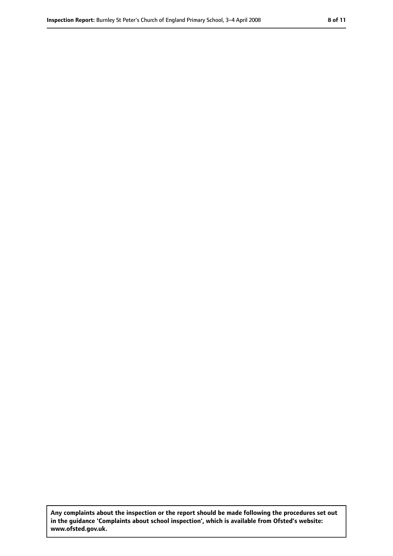**Any complaints about the inspection or the report should be made following the procedures set out in the guidance 'Complaints about school inspection', which is available from Ofsted's website: www.ofsted.gov.uk.**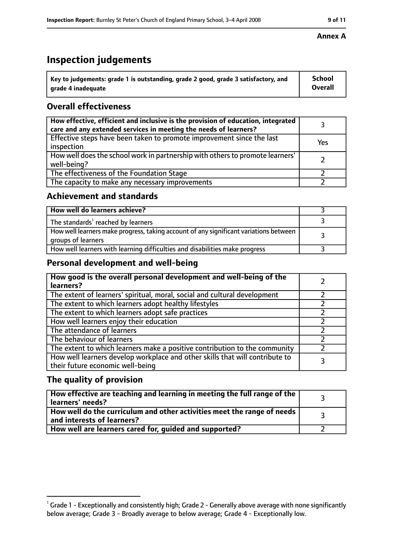# **Inspection judgements**

| $^{\backprime}$ Key to judgements: grade 1 is outstanding, grade 2 good, grade 3 satisfactory, and | <b>School</b>  |
|----------------------------------------------------------------------------------------------------|----------------|
| arade 4 inadequate                                                                                 | <b>Overall</b> |

### **Overall effectiveness**

| How effective, efficient and inclusive is the provision of education, integrated<br>care and any extended services in meeting the needs of learners? |     |
|------------------------------------------------------------------------------------------------------------------------------------------------------|-----|
| Effective steps have been taken to promote improvement since the last<br>inspection                                                                  | Yes |
| How well does the school work in partnership with others to promote learners'<br>well-being?                                                         |     |
| The effectiveness of the Foundation Stage                                                                                                            |     |
| The capacity to make any necessary improvements                                                                                                      |     |

#### **Achievement and standards**

| How well do learners achieve?                                                                               |  |
|-------------------------------------------------------------------------------------------------------------|--|
| The standards <sup>1</sup> reached by learners                                                              |  |
| How well learners make progress, taking account of any significant variations between<br>groups of learners |  |
| How well learners with learning difficulties and disabilities make progress                                 |  |

### **Personal development and well-being**

| How good is the overall personal development and well-being of the<br>learners?                                  |  |
|------------------------------------------------------------------------------------------------------------------|--|
| The extent of learners' spiritual, moral, social and cultural development                                        |  |
| The extent to which learners adopt healthy lifestyles                                                            |  |
| The extent to which learners adopt safe practices                                                                |  |
| How well learners enjoy their education                                                                          |  |
| The attendance of learners                                                                                       |  |
| The behaviour of learners                                                                                        |  |
| The extent to which learners make a positive contribution to the community                                       |  |
| How well learners develop workplace and other skills that will contribute to<br>their future economic well-being |  |

### **The quality of provision**

| How effective are teaching and learning in meeting the full range of the<br>learners' needs?          |  |
|-------------------------------------------------------------------------------------------------------|--|
| How well do the curriculum and other activities meet the range of needs<br>and interests of learners? |  |
| How well are learners cared for, guided and supported?                                                |  |

#### **Annex A**

 $^1$  Grade 1 - Exceptionally and consistently high; Grade 2 - Generally above average with none significantly below average; Grade 3 - Broadly average to below average; Grade 4 - Exceptionally low.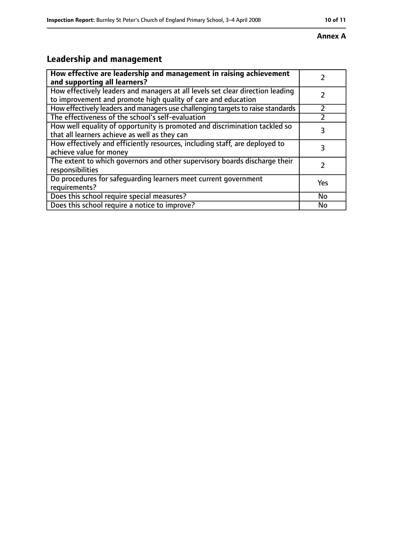#### **Annex A**

# **Leadership and management**

| How effective are leadership and management in raising achievement<br>and supporting all learners?                                              |     |
|-------------------------------------------------------------------------------------------------------------------------------------------------|-----|
| How effectively leaders and managers at all levels set clear direction leading<br>to improvement and promote high quality of care and education |     |
| How effectively leaders and managers use challenging targets to raise standards                                                                 |     |
| The effectiveness of the school's self-evaluation                                                                                               |     |
| How well equality of opportunity is promoted and discrimination tackled so<br>that all learners achieve as well as they can                     | 3   |
| How effectively and efficiently resources, including staff, are deployed to<br>achieve value for money                                          | 3   |
| The extent to which governors and other supervisory boards discharge their<br>responsibilities                                                  |     |
| Do procedures for safequarding learners meet current government<br>requirements?                                                                | Yes |
| Does this school require special measures?                                                                                                      | No  |
| Does this school require a notice to improve?                                                                                                   | No  |